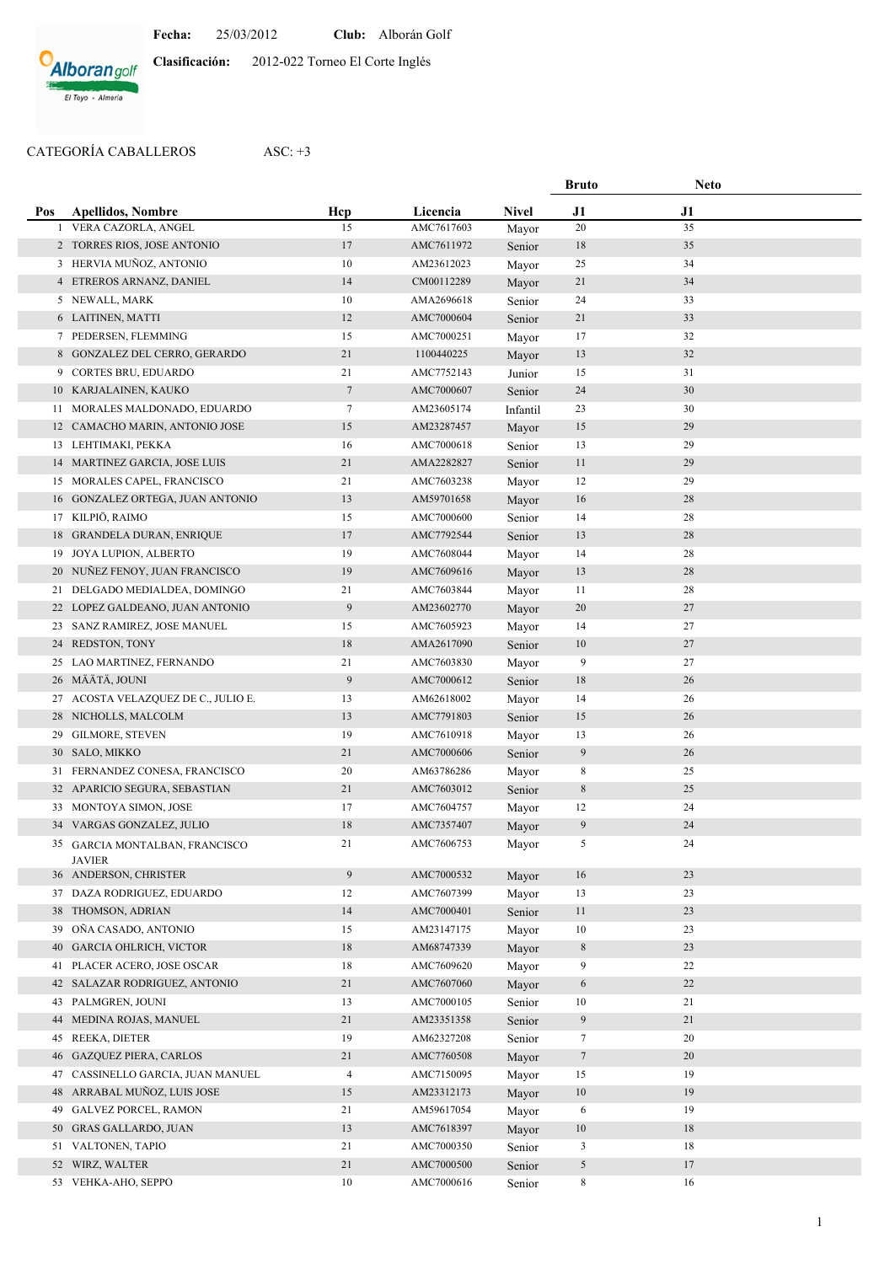## **Alborangolf** El Toyo - Almería

**Clasificación:** 2012-022 Torneo El Corte Inglés

## CATEGORÍA CABALLEROS ASC: +3

|          |                                                  |                      |                          |                  | <b>Bruto</b>   | <b>Neto</b> |  |
|----------|--------------------------------------------------|----------------------|--------------------------|------------------|----------------|-------------|--|
| Pos      | <b>Apellidos, Nombre</b>                         | Hcp                  | Licencia                 | <b>Nivel</b>     | J1             | J1          |  |
| 1        | VERA CAZORLA, ANGEL                              | 15                   | AMC7617603               | Mayor            | 20             | 35          |  |
|          | 2 TORRES RIOS, JOSE ANTONIO                      | 17                   | AMC7611972               | Senior           | 18             | 35          |  |
|          | 3 HERVIA MUÑOZ, ANTONIO                          | 10                   | AM23612023               | Mayor            | 25             | 34          |  |
|          | 4 ETREROS ARNANZ, DANIEL                         | 14                   | CM00112289               | Mayor            | 21             | 34          |  |
|          | 5 NEWALL, MARK                                   | 10                   | AMA2696618               | Senior           | 24             | 33          |  |
|          | 6 LAITINEN, MATTI                                | 12                   | AMC7000604               | Senior           | 21             | 33          |  |
|          | 7 PEDERSEN, FLEMMING                             | 15                   | AMC7000251               | Mayor            | 17             | 32          |  |
|          | 8 GONZALEZ DEL CERRO, GERARDO                    | 21                   | 1100440225               | Mayor            | 13             | 32          |  |
|          | 9 CORTES BRU, EDUARDO                            | 21                   | AMC7752143               | Junior           | 15             | 31          |  |
|          | 10 KARJALAINEN, KAUKO                            | $\tau$               | AMC7000607               | Senior           | 24             | 30          |  |
|          | 11 MORALES MALDONADO, EDUARDO                    | $\tau$               | AM23605174               | Infantil         | 23             | 30          |  |
|          | 12 CAMACHO MARIN, ANTONIO JOSE                   | 15                   | AM23287457               | Mayor            | 15             | 29          |  |
|          | 13 LEHTIMAKI, PEKKA                              | 16                   | AMC7000618               | Senior           | 13             | 29          |  |
|          | 14 MARTINEZ GARCIA, JOSE LUIS                    | 21                   | AMA2282827               | Senior           | 11             | 29          |  |
|          | 15 MORALES CAPEL, FRANCISCO                      | 21                   | AMC7603238               | Mayor            | 12             | 29          |  |
|          | 16 GONZALEZ ORTEGA, JUAN ANTONIO                 | 13                   | AM59701658               | Mayor            | 16             | 28          |  |
|          | 17 KILPIÖ, RAIMO                                 | 15                   | AMC7000600               | Senior           | 14             | 28          |  |
|          | 18 GRANDELA DURAN, ENRIQUE                       | 17                   | AMC7792544               | Senior           | 13             | 28          |  |
|          | 19 JOYA LUPION, ALBERTO                          | 19                   | AMC7608044               | Mayor            | 14             | 28          |  |
|          | 20 NUÑEZ FENOY, JUAN FRANCISCO                   | 19                   | AMC7609616               | Mayor            | 13             | 28          |  |
|          | 21 DELGADO MEDIALDEA, DOMINGO                    | 21                   | AMC7603844               | Mayor            | 11             | 28          |  |
|          | 22 LOPEZ GALDEANO, JUAN ANTONIO                  | $\overline{9}$       | AM23602770               | Mayor            | 20             | 27          |  |
|          | 23 SANZ RAMIREZ, JOSE MANUEL                     | 15                   | AMC7605923               | Mayor            | 14             | 27          |  |
|          | 24 REDSTON, TONY                                 | 18                   | AMA2617090               | Senior           | 10             | 27          |  |
|          | 25 LAO MARTINEZ, FERNANDO                        | 21                   | AMC7603830               | Mayor            | 9              | 27          |  |
|          | 26 MÄÄTÄ, JOUNI                                  | $\overline{9}$       | AMC7000612               | Senior           | 18             | 26          |  |
|          | 27 ACOSTA VELAZQUEZ DE C., JULIO E.              | 13                   | AM62618002               | Mayor            | 14             | 26          |  |
|          | 28 NICHOLLS, MALCOLM                             | 13                   | AMC7791803               | Senior           | 15             | 26          |  |
|          | 29 GILMORE, STEVEN                               | 19                   | AMC7610918               | Mayor            | 13             | 26          |  |
|          | 30 SALO, MIKKO                                   | 21                   | AMC7000606               | Senior           | 9              | 26          |  |
|          | 31 FERNANDEZ CONESA, FRANCISCO                   | 20                   | AM63786286               | Mayor            | 8              | 25          |  |
|          | 32 APARICIO SEGURA, SEBASTIAN                    | 21                   | AMC7603012               | Senior           | 8              | 25          |  |
|          | 33 MONTOYA SIMON, JOSE                           | 17                   | AMC7604757               | Mayor            | 12             | 24          |  |
|          | 34 VARGAS GONZALEZ, JULIO                        | 18                   | AMC7357407               | Mayor            | 9              | 24          |  |
|          | 35 GARCIA MONTALBAN, FRANCISCO                   | 21                   | AMC7606753               | Mayor            | 5              | 24          |  |
|          | <b>JAVIER</b>                                    |                      |                          |                  |                |             |  |
|          | 36 ANDERSON, CHRISTER<br>DAZA RODRIGUEZ, EDUARDO | $\overline{9}$<br>12 | AMC7000532<br>AMC7607399 | Mayor            | 16             | 23<br>23    |  |
| 37       | THOMSON, ADRIAN                                  | 14                   | AMC7000401               | Mayor            | 13             | $23\,$      |  |
| 38<br>39 | OÑA CASADO, ANTONIO                              | 15                   | AM23147175               | Senior           | 11             | 23          |  |
|          | <b>GARCIA OHLRICH, VICTOR</b>                    | 18                   | AM68747339               | Mayor            | 10             | 23          |  |
| 40       | PLACER ACERO, JOSE OSCAR                         | 18                   | AMC7609620               | Mayor            | 8<br>9         | 22          |  |
| 41       | 42 SALAZAR RODRIGUEZ, ANTONIO                    | $21\,$               | AMC7607060               | Mayor            | 6              | 22          |  |
| 43       | PALMGREN, JOUNI                                  | 13                   | AMC7000105               | Mayor            | 10             | 21          |  |
| 44       | MEDINA ROJAS, MANUEL                             | 21                   | AM23351358               | Senior           | 9              | 21          |  |
| 45       | REEKA, DIETER                                    | 19                   | AM62327208               | Senior<br>Senior | 7              | 20          |  |
| 46       | <b>GAZQUEZ PIERA, CARLOS</b>                     | $21\,$               | AMC7760508               |                  | $\overline{7}$ | $20\,$      |  |
| 47       | CASSINELLO GARCIA, JUAN MANUEL                   | $\overline{4}$       | AMC7150095               | Mayor<br>Mayor   | 15             | 19          |  |
|          | 48 ARRABAL MUÑOZ, LUIS JOSE                      | 15                   | AM23312173               | Mayor            | $10\,$         | 19          |  |
| 49       | <b>GALVEZ PORCEL, RAMON</b>                      | 21                   | AM59617054               | Mayor            | 6              | 19          |  |
| 50       | <b>GRAS GALLARDO, JUAN</b>                       | 13                   | AMC7618397               | Mayor            | 10             | 18          |  |
| 51       | VALTONEN, TAPIO                                  | 21                   | AMC7000350               | Senior           | 3              | 18          |  |
| 52       | WIRZ, WALTER                                     | 21                   | AMC7000500               | Senior           | 5              | 17          |  |
| 53       | VEHKA-AHO, SEPPO                                 | 10                   | AMC7000616               | Senior           | 8              | 16          |  |
|          |                                                  |                      |                          |                  |                |             |  |